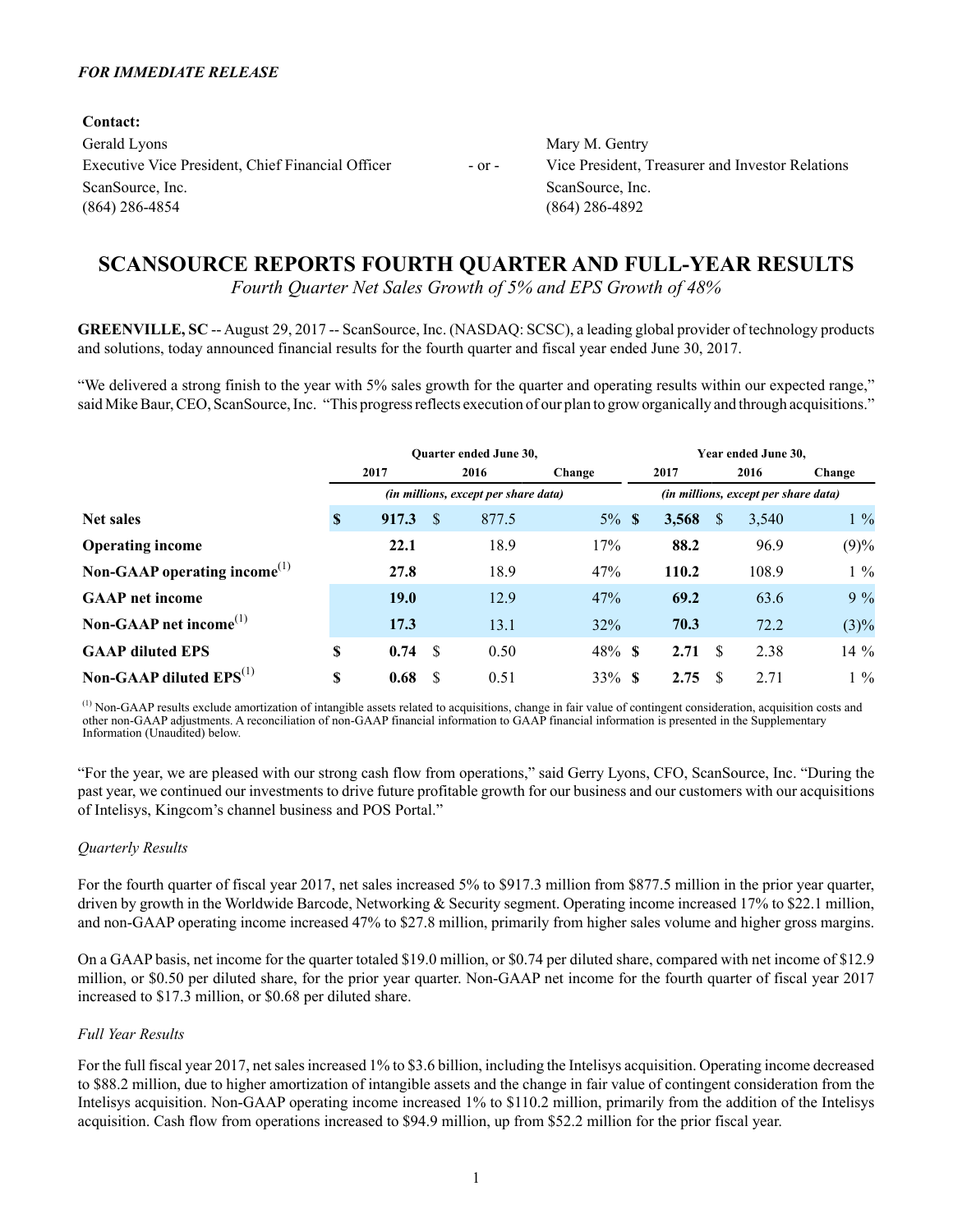#### *FOR IMMEDIATE RELEASE*

| Contact:                                          |            |                                                  |
|---------------------------------------------------|------------|--------------------------------------------------|
| Gerald Lyons                                      |            | Mary M. Gentry                                   |
| Executive Vice President, Chief Financial Officer | $-$ or $-$ | Vice President, Treasurer and Investor Relations |
| ScanSource, Inc.                                  |            | ScanSource, Inc.                                 |
| $(864)$ 286-4854                                  |            | $(864)$ 286-4892                                 |

# **SCANSOURCE REPORTS FOURTH QUARTER AND FULL-YEAR RESULTS**

*Fourth Quarter Net Sales Growth of 5% and EPS Growth of 48%*

**GREENVILLE, SC** -- August 29, 2017 -- ScanSource, Inc. (NASDAQ: SCSC), a leading global provider of technology products and solutions, today announced financial results for the fourth quarter and fiscal year ended June 30, 2017.

"We delivered a strong finish to the year with 5% sales growth for the quarter and operating results within our expected range," said Mike Baur, CEO, ScanSource, Inc. "This progress reflects execution of our plan to grow organically and through acquisitions."

|                                          |              | <b>Ouarter ended June 30,</b> |          |                                             |           |  |       | Year ended June 30, |                                             |         |  |  |  |  |  |  |
|------------------------------------------|--------------|-------------------------------|----------|---------------------------------------------|-----------|--|-------|---------------------|---------------------------------------------|---------|--|--|--|--|--|--|
|                                          |              | 2017                          |          | 2016                                        | Change    |  | 2017  |                     | 2016                                        | Change  |  |  |  |  |  |  |
|                                          |              |                               |          | <i>(in millions, except per share data)</i> |           |  |       |                     | <i>(in millions, except per share data)</i> |         |  |  |  |  |  |  |
| <b>Net sales</b>                         | $\mathbf{s}$ | 917.3                         | <b>S</b> | 877.5                                       | $5\%$ \$  |  | 3,568 | S                   | 3,540                                       | $1\%$   |  |  |  |  |  |  |
| <b>Operating income</b>                  |              | 22.1                          |          | 18.9                                        | 17%       |  | 88.2  |                     | 96.9                                        | (9)%    |  |  |  |  |  |  |
| Non-GAAP operating income <sup>(1)</sup> |              | 27.8                          |          | 18.9                                        | 47%       |  | 110.2 |                     | 108.9                                       | $1\%$   |  |  |  |  |  |  |
| <b>GAAP</b> net income                   |              | <b>19.0</b>                   |          | 12.9                                        | 47%       |  | 69.2  |                     | 63.6                                        | $9\%$   |  |  |  |  |  |  |
| Non-GAAP net income <sup>(1)</sup>       |              | 17.3                          |          | 13.1                                        | 32%       |  | 70.3  |                     | 72.2                                        | $(3)\%$ |  |  |  |  |  |  |
| <b>GAAP diluted EPS</b>                  | S            | 0.74                          | -S       | 0.50                                        | $48\%$ \$ |  | 2.71  | S                   | 2.38                                        | 14 %    |  |  |  |  |  |  |
| Non-GAAP diluted $EPS^{(1)}$             | S            | 0.68                          | <b>S</b> | 0.51                                        | $33\%$ \$ |  | 2.75  | S                   | 2.71                                        | $1\%$   |  |  |  |  |  |  |

 $<sup>(1)</sup>$  Non-GAAP results exclude amortization of intangible assets related to acquisitions, change in fair value of contingent consideration, acquisition costs and</sup> other non-GAAP adjustments. A reconciliation of non-GAAP financial information to GAAP financial information is presented in the Supplementary Information (Unaudited) below.

"For the year, we are pleased with our strong cash flow from operations," said Gerry Lyons, CFO, ScanSource, Inc. "During the past year, we continued our investments to drive future profitable growth for our business and our customers with our acquisitions of Intelisys, Kingcom's channel business and POS Portal."

#### *Quarterly Results*

For the fourth quarter of fiscal year 2017, net sales increased 5% to \$917.3 million from \$877.5 million in the prior year quarter, driven by growth in the Worldwide Barcode, Networking & Security segment. Operating income increased 17% to \$22.1 million, and non-GAAP operating income increased 47% to \$27.8 million, primarily from higher sales volume and higher gross margins.

On a GAAPbasis, net income for the quarter totaled \$19.0 million, or \$0.74 per diluted share, compared with net income of \$12.9 million, or \$0.50 per diluted share, for the prior year quarter. Non-GAAP net income for the fourth quarter of fiscal year 2017 increased to \$17.3 million, or \$0.68 per diluted share.

#### *Full Year Results*

For the full fiscal year 2017, net sales increased 1% to \$3.6 billion, including the Intelisys acquisition. Operating income decreased to \$88.2 million, due to higher amortization of intangible assets and the change in fair value of contingent consideration from the Intelisys acquisition. Non-GAAP operating income increased 1% to \$110.2 million, primarily from the addition of the Intelisys acquisition. Cash flow from operations increased to \$94.9 million, up from \$52.2 million for the prior fiscal year.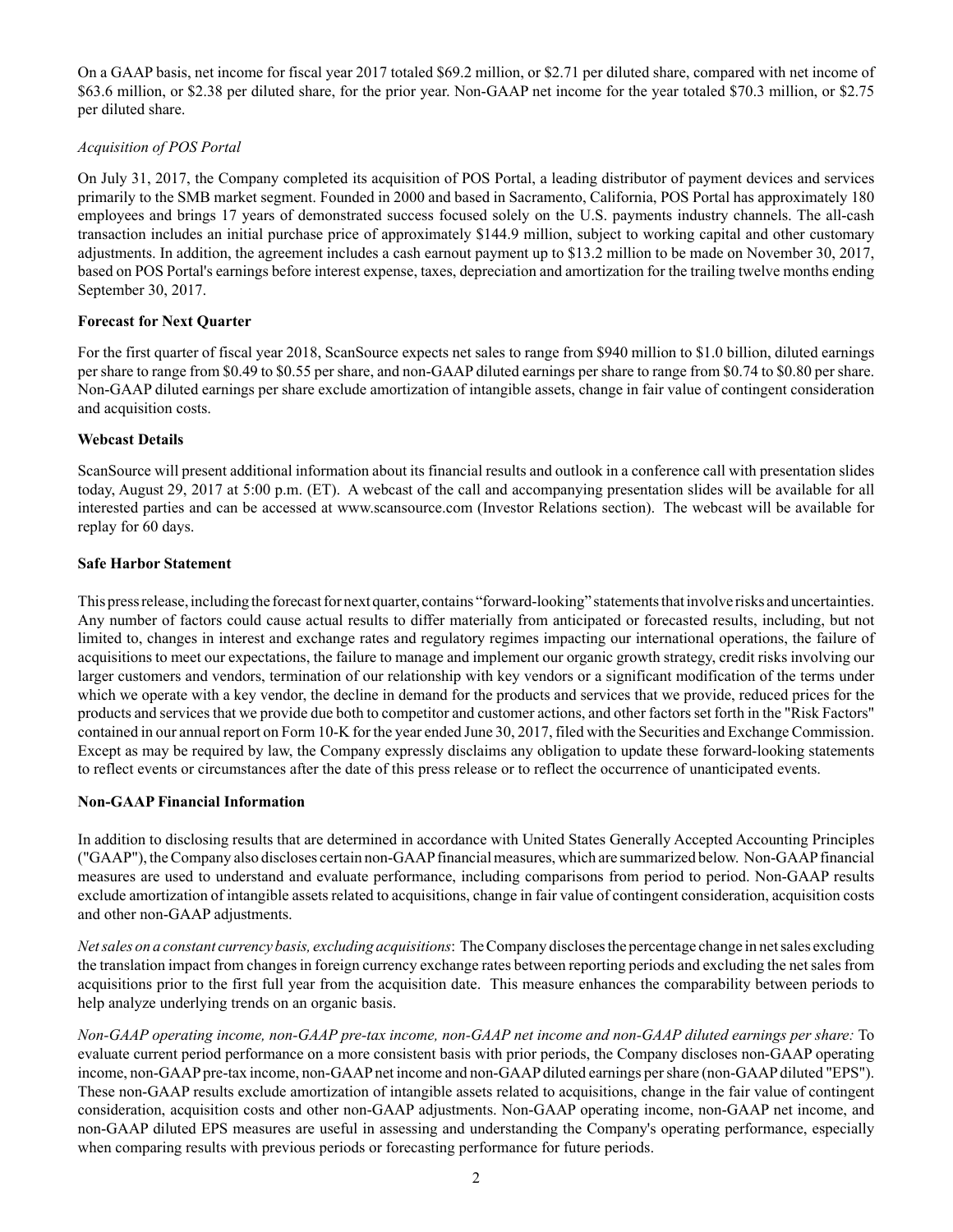On a GAAPbasis, net income for fiscal year 2017 totaled \$69.2 million, or \$2.71 per diluted share, compared with net income of \$63.6 million, or \$2.38 per diluted share, for the prior year. Non-GAAP net income for the year totaled \$70.3 million, or \$2.75 per diluted share.

### *Acquisition of POS Portal*

On July 31, 2017, the Company completed its acquisition of POS Portal, a leading distributor of payment devices and services primarily to the SMB market segment. Founded in 2000 and based in Sacramento, California, POS Portal has approximately 180 employees and brings 17 years of demonstrated success focused solely on the U.S. payments industry channels. The all-cash transaction includes an initial purchase price of approximately \$144.9 million, subject to working capital and other customary adjustments. In addition, the agreement includes a cash earnout payment up to \$13.2 million to be made on November 30, 2017, based on POS Portal's earnings before interest expense, taxes, depreciation and amortization for the trailing twelve months ending September 30, 2017.

### **Forecast for Next Quarter**

For the first quarter of fiscal year 2018, ScanSource expects net sales to range from \$940 million to \$1.0 billion, diluted earnings per share to range from \$0.49 to \$0.55 per share, and non-GAAPdiluted earnings per share to range from \$0.74 to \$0.80 per share. Non-GAAPdiluted earnings per share exclude amortization of intangible assets, change in fair value of contingent consideration and acquisition costs.

### **Webcast Details**

ScanSource will present additional information about its financial results and outlook in a conference call with presentation slides today, August 29, 2017 at 5:00 p.m. (ET). A webcast of the call and accompanying presentation slides will be available for all interested parties and can be accessed at www.scansource.com (Investor Relations section). The webcast will be available for replay for 60 days.

#### **Safe Harbor Statement**

This press release, including the forecast for next quarter, contains "forward-looking" statements that involve risks and uncertainties. Any number of factors could cause actual results to differ materially from anticipated or forecasted results, including, but not limited to, changes in interest and exchange rates and regulatory regimes impacting our international operations, the failure of acquisitions to meet our expectations, the failure to manage and implement our organic growth strategy, credit risks involving our larger customers and vendors, termination of our relationship with key vendors or a significant modification of the terms under which we operate with a key vendor, the decline in demand for the products and services that we provide, reduced prices for the products and services that we provide due both to competitor and customer actions, and other factors set forth in the "Risk Factors" contained in our annual report on Form 10-K for the year ended June 30, 2017, filed with the Securities and Exchange Commission. Except as may be required by law, the Company expressly disclaims any obligation to update these forward-looking statements to reflect events or circumstances after the date of this press release or to reflect the occurrence of unanticipated events.

#### **Non-GAAP Financial Information**

In addition to disclosing results that are determined in accordance with United States Generally Accepted Accounting Principles ("GAAP"), the Company also discloses certain non-GAAPfinancial measures, which are summarized below. Non-GAAPfinancial measures are used to understand and evaluate performance, including comparisons from period to period. Non-GAAP results exclude amortization of intangible assets related to acquisitions, change in fair value of contingent consideration, acquisition costs and other non-GAAP adjustments.

*Net sales on a constant currency basis, excluding acquisitions*: The Company discloses the percentage change in net sales excluding the translation impact from changes in foreign currency exchange rates between reporting periods and excluding the net sales from acquisitions prior to the first full year from the acquisition date. This measure enhances the comparability between periods to help analyze underlying trends on an organic basis.

*Non-GAAP operating income, non-GAAP pre-tax income, non-GAAP net income and non-GAAP diluted earnings per share:* To evaluate current period performance on a more consistent basis with prior periods, the Company discloses non-GAAP operating income, non-GAAP pre-tax income, non-GAAP net income and non-GAAP diluted earnings per share (non-GAAP diluted "EPS"). These non-GAAP results exclude amortization of intangible assets related to acquisitions, change in the fair value of contingent consideration, acquisition costs and other non-GAAP adjustments. Non-GAAP operating income, non-GAAP net income, and non-GAAP diluted EPS measures are useful in assessing and understanding the Company's operating performance, especially when comparing results with previous periods or forecasting performance for future periods.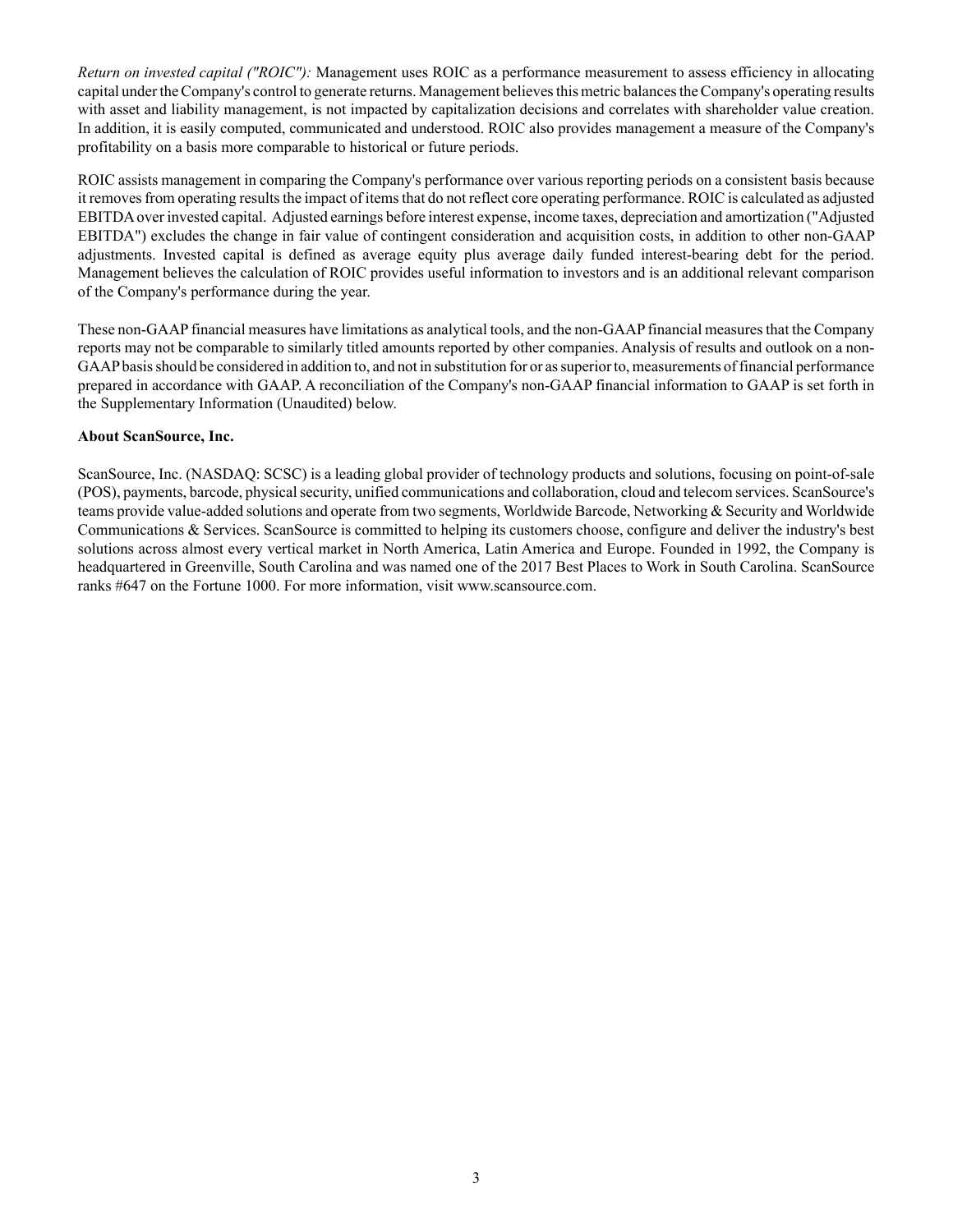*Return on invested capital ("ROIC"):* Management uses ROIC as a performance measurement to assess efficiency in allocating capital under the Company's control to generate returns. Management believes this metric balances the Company's operating results with asset and liability management, is not impacted by capitalization decisions and correlates with shareholder value creation. In addition, it is easily computed, communicated and understood. ROIC also provides management a measure of the Company's profitability on a basis more comparable to historical or future periods.

ROIC assists management in comparing the Company's performance over various reporting periods on a consistent basis because it removes from operating results the impact of items that do not reflect core operating performance. ROIC is calculated as adjusted EBITDAover invested capital. Adjusted earnings before interest expense, income taxes, depreciation and amortization ("Adjusted EBITDA") excludes the change in fair value of contingent consideration and acquisition costs, in addition to other non-GAAP adjustments. Invested capital is defined as average equity plus average daily funded interest-bearing debt for the period. Management believes the calculation of ROIC provides useful information to investors and is an additional relevant comparison of the Company's performance during the year.

These non-GAAPfinancial measures have limitations as analytical tools, and the non-GAAPfinancial measures that the Company reports may not be comparable to similarly titled amounts reported by other companies. Analysis of results and outlook on a non-GAAPbasis should be considered in addition to, and not in substitution for or as superior to, measurements of financial performance prepared in accordance with GAAP. A reconciliation of the Company's non-GAAP financial information to GAAP is set forth in the Supplementary Information (Unaudited) below.

### **About ScanSource, Inc.**

ScanSource, Inc. (NASDAQ: SCSC) is a leading global provider of technology products and solutions, focusing on point-of-sale (POS), payments, barcode, physical security, unified communications and collaboration, cloud and telecom services. ScanSource's teams provide value-added solutions and operate from two segments, Worldwide Barcode, Networking & Security and Worldwide Communications & Services. ScanSource is committed to helping its customers choose, configure and deliver the industry's best solutions across almost every vertical market in North America, Latin America and Europe. Founded in 1992, the Company is headquartered in Greenville, South Carolina and was named one of the 2017 Best Places to Work in South Carolina. ScanSource ranks #647 on the Fortune 1000. For more information, visit www.scansource.com.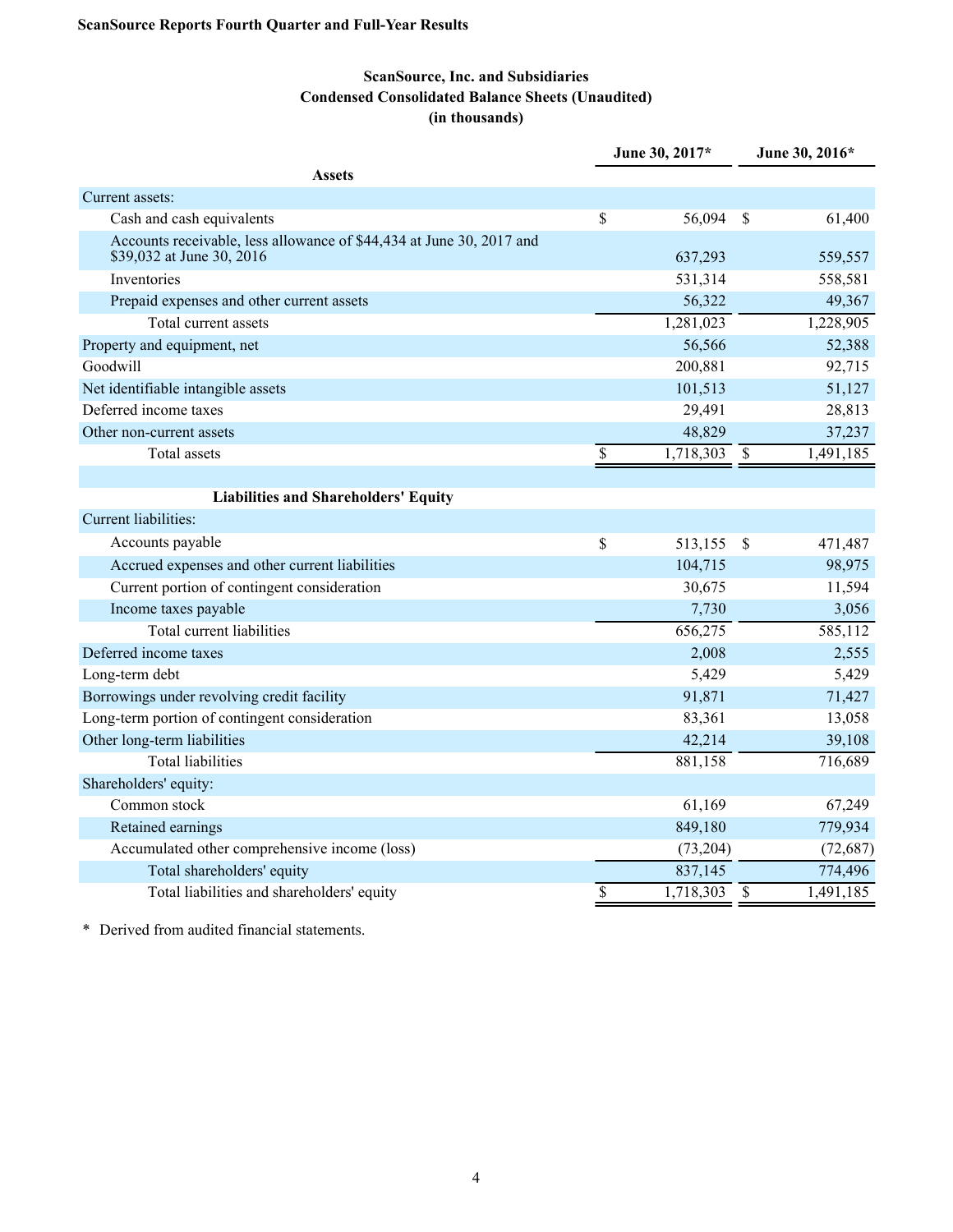# **ScanSource, Inc. and Subsidiaries Condensed Consolidated Balance Sheets (Unaudited) (in thousands)**

|                                                                                                   | June 30, 2017*  |           |                          | June 30, 2016* |  |  |
|---------------------------------------------------------------------------------------------------|-----------------|-----------|--------------------------|----------------|--|--|
| <b>Assets</b>                                                                                     |                 |           |                          |                |  |  |
| Current assets:                                                                                   |                 |           |                          |                |  |  |
| Cash and cash equivalents                                                                         | \$              | 56,094    | $\mathcal{S}$            | 61,400         |  |  |
| Accounts receivable, less allowance of \$44,434 at June 30, 2017 and<br>\$39,032 at June 30, 2016 |                 | 637,293   |                          | 559,557        |  |  |
| Inventories                                                                                       |                 | 531,314   |                          | 558,581        |  |  |
| Prepaid expenses and other current assets                                                         |                 | 56,322    |                          | 49,367         |  |  |
| Total current assets                                                                              |                 | 1,281,023 |                          | 1,228,905      |  |  |
| Property and equipment, net                                                                       |                 | 56,566    |                          | 52,388         |  |  |
| Goodwill                                                                                          |                 | 200,881   |                          | 92,715         |  |  |
| Net identifiable intangible assets                                                                |                 | 101,513   |                          | 51,127         |  |  |
| Deferred income taxes                                                                             |                 | 29,491    |                          | 28,813         |  |  |
| Other non-current assets                                                                          |                 | 48,829    |                          | 37,237         |  |  |
| <b>Total assets</b>                                                                               | \$              | 1,718,303 | $\mathcal{S}$            | 1,491,185      |  |  |
|                                                                                                   |                 |           |                          |                |  |  |
| <b>Liabilities and Shareholders' Equity</b>                                                       |                 |           |                          |                |  |  |
| Current liabilities:                                                                              |                 |           |                          |                |  |  |
| Accounts payable                                                                                  | \$              | 513,155   | $\mathcal{S}$            | 471,487        |  |  |
| Accrued expenses and other current liabilities                                                    |                 | 104,715   |                          | 98,975         |  |  |
| Current portion of contingent consideration                                                       |                 | 30,675    |                          | 11,594         |  |  |
| Income taxes payable                                                                              |                 | 7,730     |                          | 3,056          |  |  |
| Total current liabilities                                                                         |                 | 656,275   |                          | 585,112        |  |  |
| Deferred income taxes                                                                             |                 | 2,008     |                          | 2,555          |  |  |
| Long-term debt                                                                                    |                 | 5,429     |                          | 5,429          |  |  |
| Borrowings under revolving credit facility                                                        |                 | 91,871    |                          | 71,427         |  |  |
| Long-term portion of contingent consideration                                                     |                 | 83,361    |                          | 13,058         |  |  |
| Other long-term liabilities                                                                       |                 | 42,214    |                          | 39,108         |  |  |
| <b>Total liabilities</b>                                                                          |                 | 881,158   |                          | 716,689        |  |  |
| Shareholders' equity:                                                                             |                 |           |                          |                |  |  |
| Common stock                                                                                      |                 | 61,169    |                          | 67,249         |  |  |
| Retained earnings                                                                                 |                 | 849,180   |                          | 779,934        |  |  |
| Accumulated other comprehensive income (loss)                                                     |                 | (73,204)  |                          | (72, 687)      |  |  |
| Total shareholders' equity                                                                        |                 | 837,145   |                          | 774,496        |  |  |
| Total liabilities and shareholders' equity                                                        | $\overline{\$}$ | 1,718,303 | $\overline{\mathcal{S}}$ | 1,491,185      |  |  |

\* Derived from audited financial statements.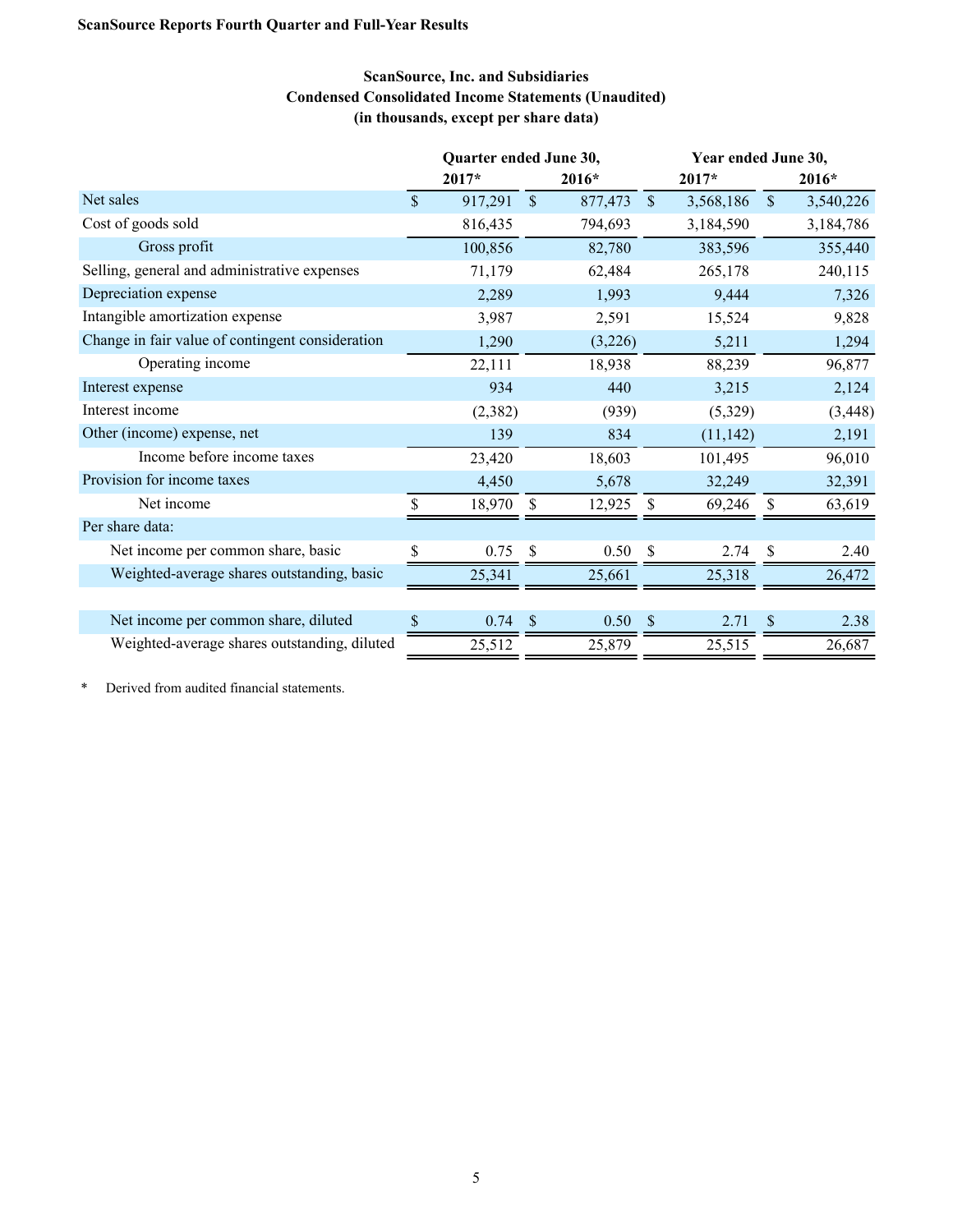### **ScanSource, Inc. and Subsidiaries Condensed Consolidated Income Statements (Unaudited) (in thousands, except per share data)**

|                                                  | Quarter ended June 30, |          |               | Year ended June 30, |               |           |              |           |
|--------------------------------------------------|------------------------|----------|---------------|---------------------|---------------|-----------|--------------|-----------|
|                                                  |                        | 2017*    |               | 2016*               |               | 2017*     |              | $2016*$   |
| Net sales                                        | \$                     | 917,291  | $\mathbb{S}$  | 877,473             | $\mathbb{S}$  | 3,568,186 | $\mathbb{S}$ | 3,540,226 |
| Cost of goods sold                               |                        | 816,435  |               | 794,693             |               | 3,184,590 |              | 3,184,786 |
| Gross profit                                     |                        | 100,856  |               | 82,780              |               | 383,596   |              | 355,440   |
| Selling, general and administrative expenses     |                        | 71,179   |               | 62,484              |               | 265,178   |              | 240,115   |
| Depreciation expense                             |                        | 2,289    |               | 1,993               |               | 9,444     |              | 7,326     |
| Intangible amortization expense                  |                        | 3,987    |               | 2,591               |               | 15,524    |              | 9,828     |
| Change in fair value of contingent consideration |                        | 1,290    |               | (3,226)             |               | 5,211     |              | 1,294     |
| Operating income                                 |                        | 22,111   |               | 18,938              |               | 88,239    |              | 96,877    |
| Interest expense                                 |                        | 934      |               | 440                 |               | 3,215     |              | 2,124     |
| Interest income                                  |                        | (2, 382) |               | (939)               |               | (5,329)   |              | (3, 448)  |
| Other (income) expense, net                      |                        | 139      |               | 834                 |               | (11, 142) |              | 2,191     |
| Income before income taxes                       |                        | 23,420   |               | 18,603              |               | 101,495   |              | 96,010    |
| Provision for income taxes                       |                        | 4,450    |               | 5,678               |               | 32,249    |              | 32,391    |
| Net income                                       | \$                     | 18,970   | \$            | 12,925              | <sup>\$</sup> | 69,246    | S            | 63,619    |
| Per share data:                                  |                        |          |               |                     |               |           |              |           |
| Net income per common share, basic               | \$                     | 0.75     | \$            | 0.50                | <sup>\$</sup> | 2.74      |              | 2.40      |
| Weighted-average shares outstanding, basic       |                        | 25,341   |               | 25,661              |               | 25,318    |              | 26,472    |
|                                                  |                        |          |               |                     |               |           |              |           |
| Net income per common share, diluted             | \$                     | 0.74     | <sup>\$</sup> | 0.50                | <sup>\$</sup> | 2.71      | S            | 2.38      |
| Weighted-average shares outstanding, diluted     |                        | 25,512   |               | 25,879              |               | 25,515    |              | 26,687    |

\* Derived from audited financial statements.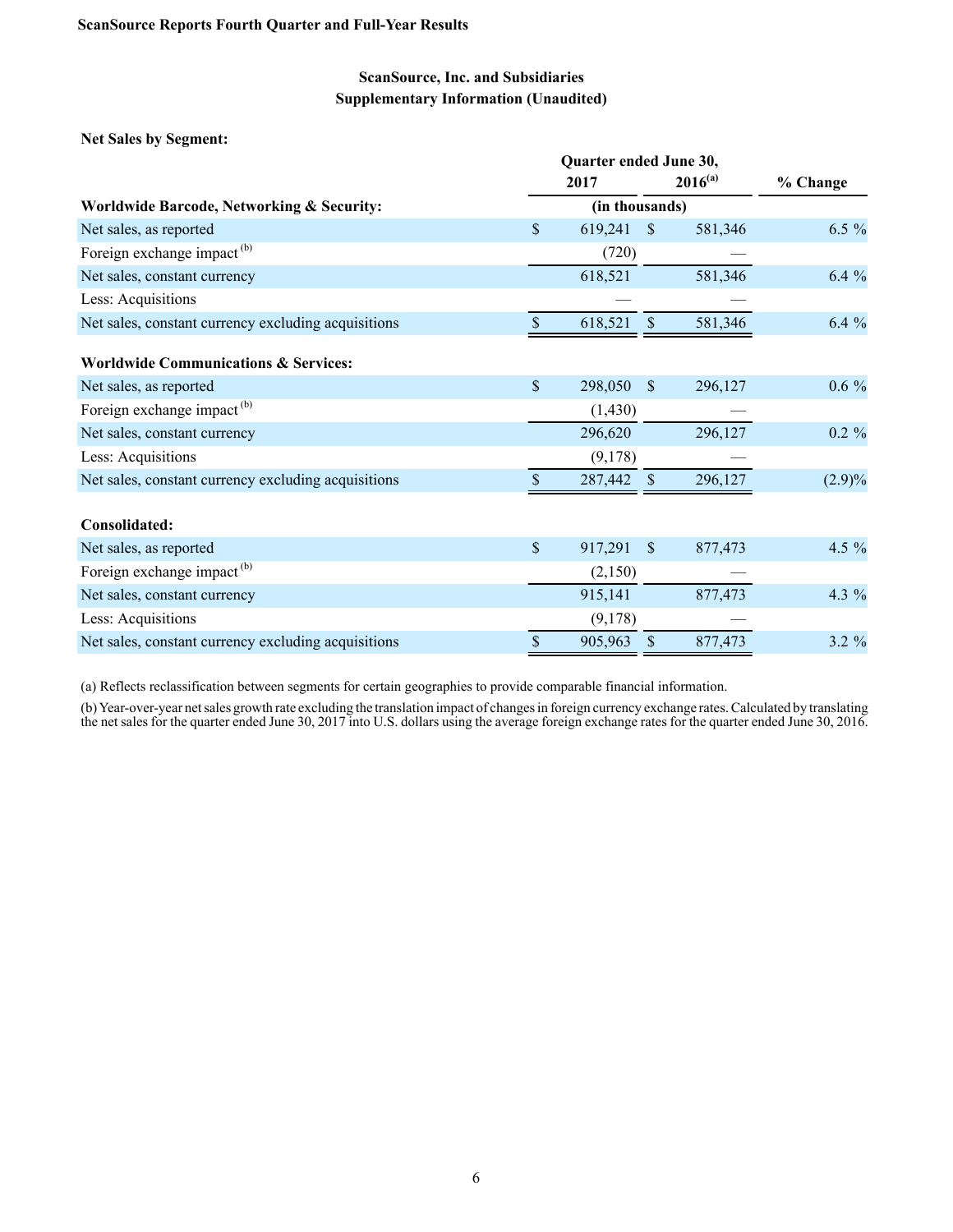**Net Sales by Segment:**

|                                                     |               | Quarter ended June 30, |                           |              |           |  |  |  |  |
|-----------------------------------------------------|---------------|------------------------|---------------------------|--------------|-----------|--|--|--|--|
|                                                     |               | 2017                   |                           | $2016^{(a)}$ | % Change  |  |  |  |  |
| Worldwide Barcode, Networking & Security:           |               | (in thousands)         |                           |              |           |  |  |  |  |
| Net sales, as reported                              | $\mathsf{\$}$ | 619,241                | $\mathbb{S}$              | 581,346      | $6.5\%$   |  |  |  |  |
| Foreign exchange impact <sup>(b)</sup>              |               | (720)                  |                           |              |           |  |  |  |  |
| Net sales, constant currency                        |               | 618,521                |                           | 581,346      | $6.4\%$   |  |  |  |  |
| Less: Acquisitions                                  |               |                        |                           |              |           |  |  |  |  |
| Net sales, constant currency excluding acquisitions |               | 618,521                | $\mathcal{S}$             | 581,346      | $6.4\%$   |  |  |  |  |
| <b>Worldwide Communications &amp; Services:</b>     |               |                        |                           |              |           |  |  |  |  |
| Net sales, as reported                              | $\mathsf{\$}$ | 298,050                | $\mathbb{S}$              | 296,127      | $0.6\%$   |  |  |  |  |
| Foreign exchange impact <sup>(b)</sup>              |               | (1, 430)               |                           |              |           |  |  |  |  |
| Net sales, constant currency                        |               | 296,620                |                           | 296,127      | $0.2 \%$  |  |  |  |  |
| Less: Acquisitions                                  |               | (9,178)                |                           |              |           |  |  |  |  |
| Net sales, constant currency excluding acquisitions |               | 287,442                | <sup>\$</sup>             | 296,127      | $(2.9)\%$ |  |  |  |  |
| Consolidated:                                       |               |                        |                           |              |           |  |  |  |  |
| Net sales, as reported                              | $\mathsf{\$}$ | 917,291                | $\mathcal{S}$             | 877,473      | 4.5 %     |  |  |  |  |
| Foreign exchange impact <sup>(b)</sup>              |               | (2,150)                |                           |              |           |  |  |  |  |
| Net sales, constant currency                        |               | 915,141                |                           | 877,473      | 4.3 %     |  |  |  |  |
| Less: Acquisitions                                  |               | (9,178)                |                           |              |           |  |  |  |  |
| Net sales, constant currency excluding acquisitions | \$            | 905,963                | $\boldsymbol{\mathsf{S}}$ | 877,473      | $3.2 \%$  |  |  |  |  |

(a) Reflects reclassification between segments for certain geographies to provide comparable financial information.

(b) Year-over-year net sales growth rate excluding the translation impact of changes in foreign currency exchange rates. Calculated by translating the net sales for the quarter ended June 30, 2017 into U.S. dollars using the average foreign exchange rates for the quarter ended June 30, 2016.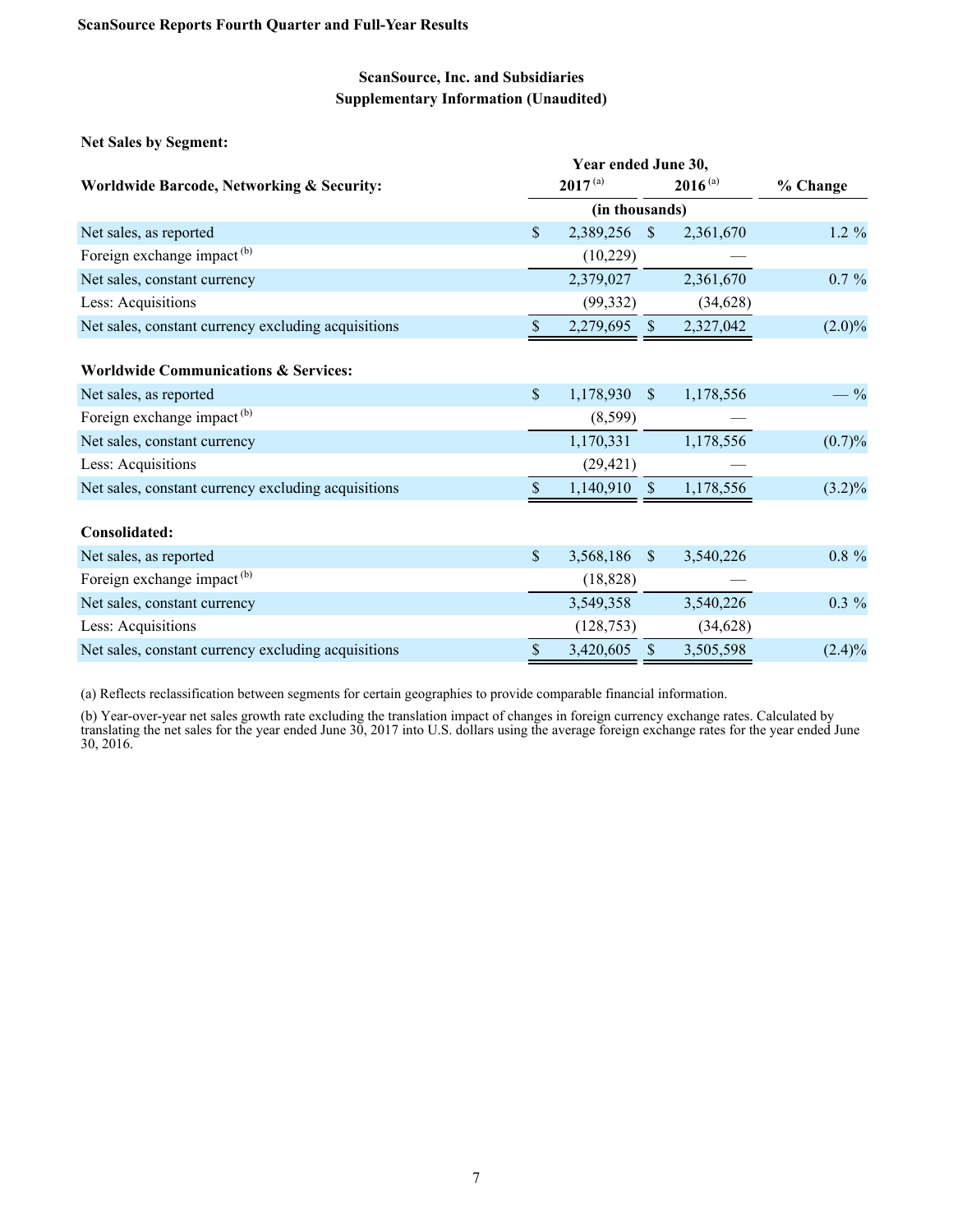| <b>Net Sales by Segment:</b>                        |                     |                    |              |           |  |  |  |
|-----------------------------------------------------|---------------------|--------------------|--------------|-----------|--|--|--|
|                                                     | Year ended June 30, |                    |              |           |  |  |  |
| Worldwide Barcode, Networking & Security:           | $2017^{(a)}$        |                    | $2016^{(a)}$ | % Change  |  |  |  |
|                                                     | (in thousands)      |                    |              |           |  |  |  |
| Net sales, as reported                              | \$<br>2,389,256     | $\mathbf{\hat{s}}$ | 2,361,670    | 1.2 %     |  |  |  |
| Foreign exchange impact <sup>(b)</sup>              | (10,229)            |                    |              |           |  |  |  |
| Net sales, constant currency                        | 2,379,027           |                    | 2,361,670    | $0.7 \%$  |  |  |  |
| Less: Acquisitions                                  | (99, 332)           |                    | (34, 628)    |           |  |  |  |
| Net sales, constant currency excluding acquisitions | 2,279,695           | $\sqrt{\ }$        | 2,327,042    | $(2.0)\%$ |  |  |  |
| <b>Worldwide Communications &amp; Services:</b>     |                     |                    |              |           |  |  |  |
| Net sales, as reported                              | \$<br>1,178,930     | $\mathbb{S}$       | 1,178,556    | $-$ %     |  |  |  |
| Foreign exchange impact <sup>(b)</sup>              | (8,599)             |                    |              |           |  |  |  |
| Net sales, constant currency                        | 1,170,331           |                    | 1,178,556    | (0.7)%    |  |  |  |
| Less: Acquisitions                                  | (29, 421)           |                    |              |           |  |  |  |
| Net sales, constant currency excluding acquisitions | 1,140,910           | <sup>S</sup>       | 1,178,556    | $(3.2)\%$ |  |  |  |
| Consolidated:                                       |                     |                    |              |           |  |  |  |
| Net sales, as reported                              | \$<br>3,568,186     | $\mathbb{S}$       | 3,540,226    | $0.8 \%$  |  |  |  |
| Foreign exchange impact <sup>(b)</sup>              | (18, 828)           |                    |              |           |  |  |  |
| Net sales, constant currency                        | 3,549,358           |                    | 3,540,226    | $0.3 \%$  |  |  |  |
| Less: Acquisitions                                  | (128, 753)          |                    | (34, 628)    |           |  |  |  |
| Net sales, constant currency excluding acquisitions | \$<br>3,420,605     | $\mathbb{S}$       | 3,505,598    | $(2.4)\%$ |  |  |  |

(a) Reflects reclassification between segments for certain geographies to provide comparable financial information.

(b) Year-over-year net sales growth rate excluding the translation impact of changes in foreign currency exchange rates. Calculated by translating the net sales for the year ended June 30, 2017 into U.S. dollars using the average foreign exchange rates for the year ended June 30, 2016.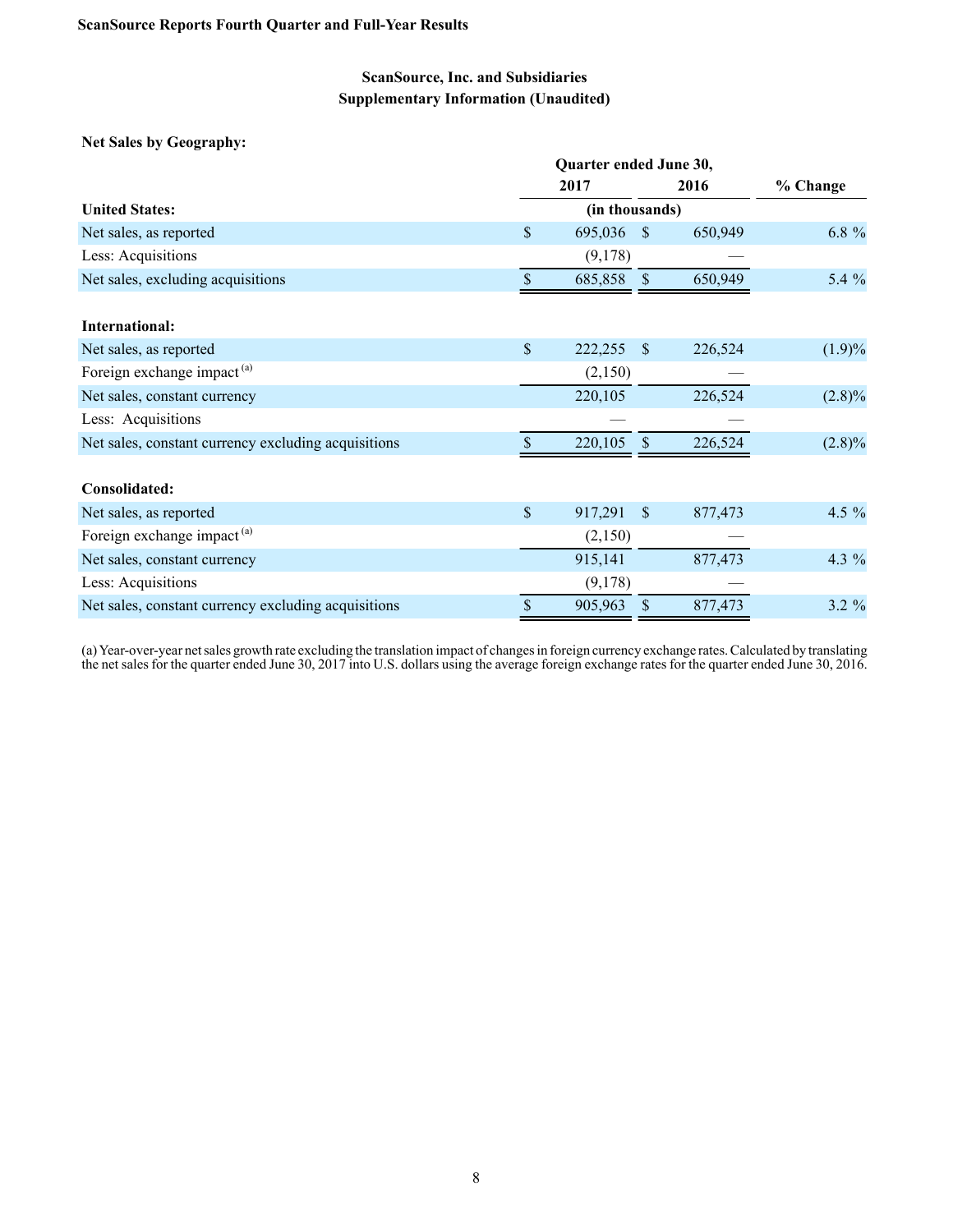**Net Sales by Geography:**

|                                                     |              | Quarter ended June 30, |               |         |           |  |  |  |  |  |  |
|-----------------------------------------------------|--------------|------------------------|---------------|---------|-----------|--|--|--|--|--|--|
|                                                     |              | 2017                   |               | 2016    | % Change  |  |  |  |  |  |  |
| <b>United States:</b>                               |              | (in thousands)         |               |         |           |  |  |  |  |  |  |
| Net sales, as reported                              | \$           | 695,036                | <sup>S</sup>  | 650,949 | 6.8 %     |  |  |  |  |  |  |
| Less: Acquisitions                                  |              | (9,178)                |               |         |           |  |  |  |  |  |  |
| Net sales, excluding acquisitions                   | $\mathbb{S}$ | 685,858                | $\mathbb{S}$  | 650,949 | 5.4 %     |  |  |  |  |  |  |
| International:                                      |              |                        |               |         |           |  |  |  |  |  |  |
| Net sales, as reported                              | \$           | 222,255                | <sup>S</sup>  | 226,524 | (1.9)%    |  |  |  |  |  |  |
| Foreign exchange impact <sup>(a)</sup>              |              | (2,150)                |               |         |           |  |  |  |  |  |  |
| Net sales, constant currency                        |              | 220,105                |               | 226,524 | $(2.8)\%$ |  |  |  |  |  |  |
| Less: Acquisitions                                  |              |                        |               |         |           |  |  |  |  |  |  |
| Net sales, constant currency excluding acquisitions |              | 220,105                | <sup>\$</sup> | 226,524 | $(2.8)\%$ |  |  |  |  |  |  |
| Consolidated:                                       |              |                        |               |         |           |  |  |  |  |  |  |
| Net sales, as reported                              | \$           | 917,291                | $\mathbb{S}$  | 877,473 | 4.5 $%$   |  |  |  |  |  |  |
| Foreign exchange impact <sup>(a)</sup>              |              | (2,150)                |               |         |           |  |  |  |  |  |  |
| Net sales, constant currency                        |              | 915,141                |               | 877,473 | 4.3 %     |  |  |  |  |  |  |
| Less: Acquisitions                                  |              | (9,178)                |               |         |           |  |  |  |  |  |  |
| Net sales, constant currency excluding acquisitions | \$           | 905,963                | $\mathbf{\$}$ | 877,473 | $3.2 \%$  |  |  |  |  |  |  |

(a) Year-over-year net sales growth rate excluding the translation impact of changes in foreign currency exchange rates. Calculated by translating the net sales for the quarter ended June 30, 2017 into U.S. dollars using the average foreign exchange rates for the quarter ended June 30, 2016.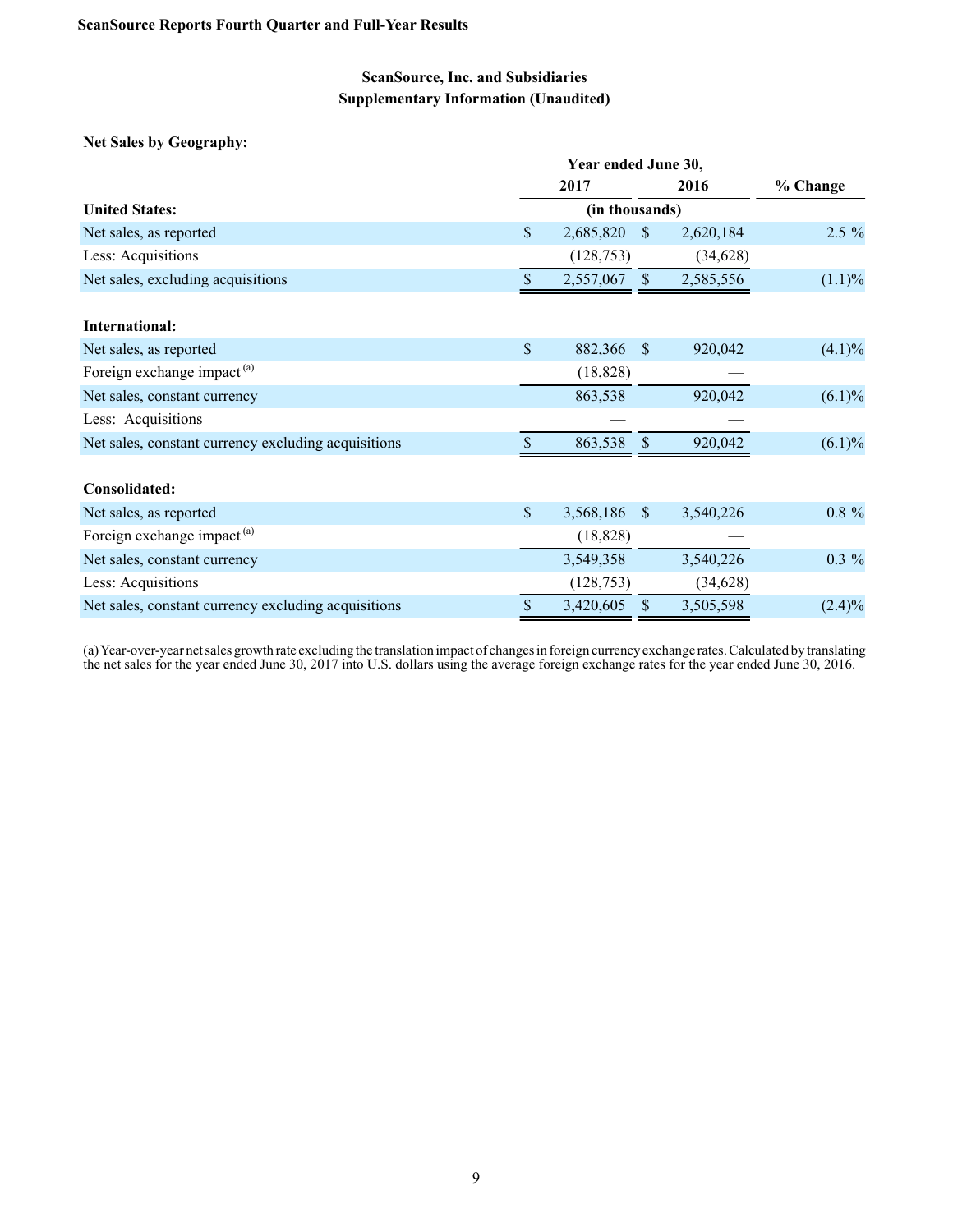**Net Sales by Geography:**

|                                                     |              | 2017           |               | 2016      | % Change  |  |  |  |
|-----------------------------------------------------|--------------|----------------|---------------|-----------|-----------|--|--|--|
| <b>United States:</b>                               |              | (in thousands) |               |           |           |  |  |  |
| Net sales, as reported                              | \$           | 2,685,820      | <sup>S</sup>  | 2,620,184 | $2.5\%$   |  |  |  |
| Less: Acquisitions                                  |              | (128, 753)     |               | (34, 628) |           |  |  |  |
| Net sales, excluding acquisitions                   | $\mathbb{S}$ | 2,557,067      | $\mathcal{S}$ | 2,585,556 | (1.1)%    |  |  |  |
| <b>International:</b>                               |              |                |               |           |           |  |  |  |
| Net sales, as reported                              | \$           | 882,366        | <sup>\$</sup> | 920,042   | $(4.1)\%$ |  |  |  |
| Foreign exchange impact <sup>(a)</sup>              |              | (18, 828)      |               |           |           |  |  |  |
| Net sales, constant currency                        |              | 863,538        |               | 920,042   | $(6.1)\%$ |  |  |  |
| Less: Acquisitions                                  |              |                |               |           |           |  |  |  |
| Net sales, constant currency excluding acquisitions | S            | 863,538        |               | 920,042   | $(6.1)\%$ |  |  |  |
| Consolidated:                                       |              |                |               |           |           |  |  |  |
| Net sales, as reported                              | \$           | 3,568,186      | <sup>S</sup>  | 3,540,226 | $0.8 \%$  |  |  |  |
| Foreign exchange impact <sup>(a)</sup>              |              | (18, 828)      |               |           |           |  |  |  |
| Net sales, constant currency                        |              | 3,549,358      |               | 3,540,226 | $0.3 \%$  |  |  |  |
| Less: Acquisitions                                  |              | (128, 753)     |               | (34, 628) |           |  |  |  |
| Net sales, constant currency excluding acquisitions | \$           | 3,420,605      | $\mathcal{S}$ | 3,505,598 | $(2.4)\%$ |  |  |  |

(a) Year-over-year net sales growth rate excluding the translation impact of changes in foreign currency exchange rates. Calculated by translating the net sales for the year ended June 30, 2017 into U.S. dollars using the average foreign exchange rates for the year ended June 30, 2016.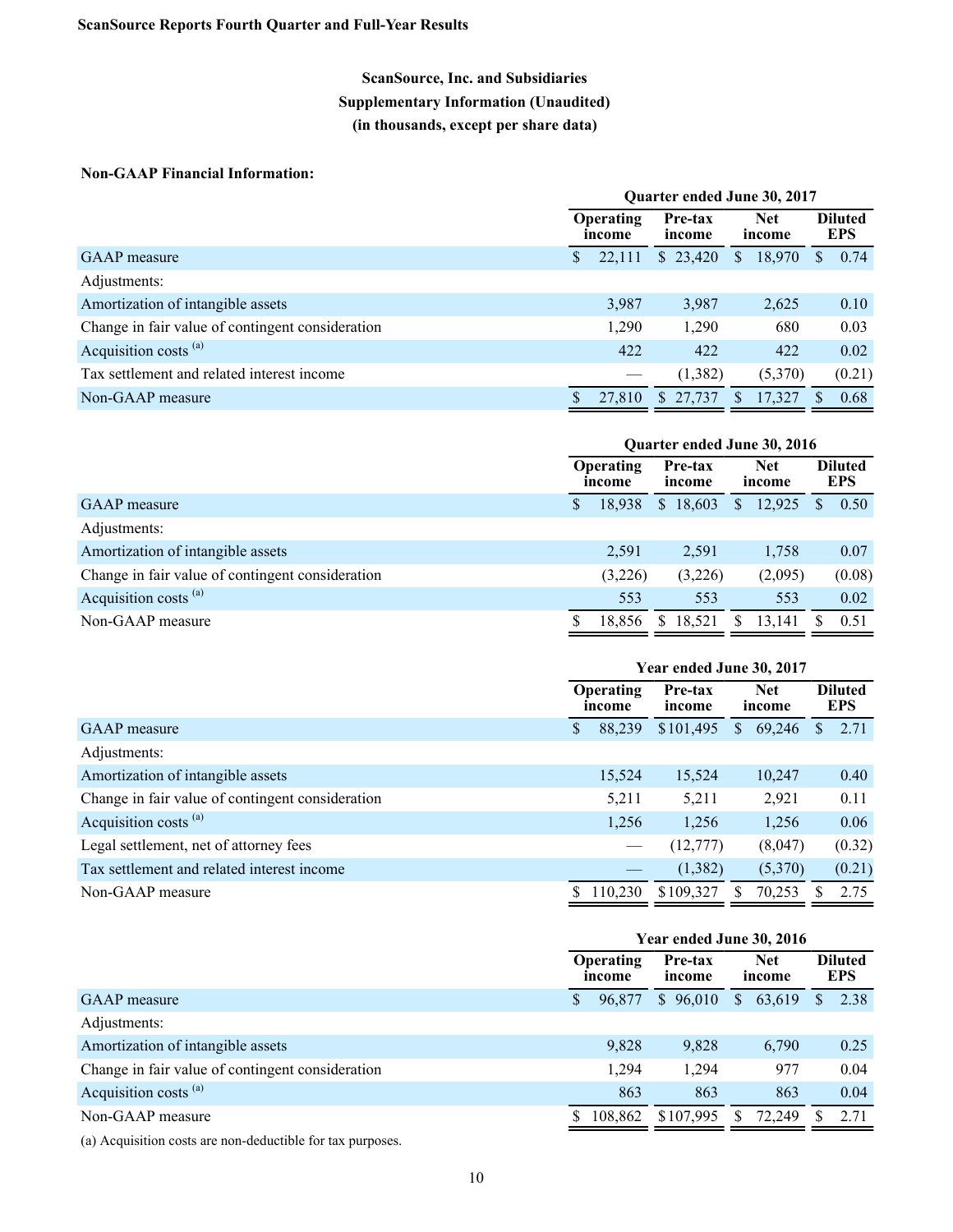# **ScanSource, Inc. and Subsidiaries Supplementary Information (Unaudited) (in thousands, except per share data)**

#### **Non-GAAP Financial Information:**

|                                                  | Quarter ended June 30, 2017 |        |                   |          |                      |         |    |                              |  |
|--------------------------------------------------|-----------------------------|--------|-------------------|----------|----------------------|---------|----|------------------------------|--|
|                                                  | <b>Operating</b><br>income  |        | Pre-tax<br>income |          | <b>Net</b><br>income |         |    | <b>Diluted</b><br><b>EPS</b> |  |
| <b>GAAP</b> measure                              |                             | 22.111 |                   | \$23,420 | \$                   | 18,970  | S. | 0.74                         |  |
| Adjustments:                                     |                             |        |                   |          |                      |         |    |                              |  |
| Amortization of intangible assets                |                             | 3,987  |                   | 3,987    |                      | 2,625   |    | 0.10                         |  |
| Change in fair value of contingent consideration |                             | 1,290  |                   | 1,290    |                      | 680     |    | 0.03                         |  |
| Acquisition costs <sup>(a)</sup>                 |                             | 422    |                   | 422      |                      | 422     |    | 0.02                         |  |
| Tax settlement and related interest income       |                             |        |                   | (1, 382) |                      | (5,370) |    | (0.21)                       |  |
| Non-GAAP measure                                 |                             | 27.810 |                   | \$27,737 | \$                   | 17,327  |    | 0.68                         |  |

|                                                  | Quarter ended June 30, 2016 |         |                   |          |                      |         |               |                              |
|--------------------------------------------------|-----------------------------|---------|-------------------|----------|----------------------|---------|---------------|------------------------------|
|                                                  | Operating<br>income         |         | Pre-tax<br>income |          | <b>Net</b><br>income |         |               | <b>Diluted</b><br><b>EPS</b> |
| <b>GAAP</b> measure                              | S.                          | 18,938  |                   | \$18,603 | $\mathbb{S}$         | 12,925  | <sup>\$</sup> | 0.50                         |
| Adjustments:                                     |                             |         |                   |          |                      |         |               |                              |
| Amortization of intangible assets                |                             | 2,591   |                   | 2.591    |                      | 1,758   |               | 0.07                         |
| Change in fair value of contingent consideration |                             | (3,226) |                   | (3,226)  |                      | (2,095) |               | (0.08)                       |
| Acquisition costs <sup>(a)</sup>                 |                             | 553     |                   | 553      |                      | 553     |               | 0.02                         |
| Non-GAAP measure                                 |                             | 18.856  |                   | \$18.521 | S.                   | 13.141  |               | 0.51                         |

|                                                  | Year ended June 30, 2017 |                   |                        |                              |  |  |  |  |
|--------------------------------------------------|--------------------------|-------------------|------------------------|------------------------------|--|--|--|--|
|                                                  | Operating<br>income      | Pre-tax<br>income | <b>Net</b><br>income   | <b>Diluted</b><br><b>EPS</b> |  |  |  |  |
| GAAP measure                                     | 88,239<br>S              | \$101,495         | 69,246<br>$\mathbb{S}$ | 2.71<br>S.                   |  |  |  |  |
| Adjustments:                                     |                          |                   |                        |                              |  |  |  |  |
| Amortization of intangible assets                | 15,524                   | 15,524            | 10,247                 | 0.40                         |  |  |  |  |
| Change in fair value of contingent consideration | 5,211                    | 5,211             | 2,921                  | 0.11                         |  |  |  |  |
| Acquisition costs <sup>(a)</sup>                 | 1,256                    | 1,256             | 1,256                  | 0.06                         |  |  |  |  |
| Legal settlement, net of attorney fees           |                          | (12, 777)         | (8,047)                | (0.32)                       |  |  |  |  |
| Tax settlement and related interest income       |                          | (1,382)           | (5,370)                | (0.21)                       |  |  |  |  |
| Non-GAAP measure                                 | 110,230                  | \$109,327         | 70,253                 | 2.75                         |  |  |  |  |

|                                                  | Year ended June 30, 2016   |         |                   |                      |        |               |                              |  |
|--------------------------------------------------|----------------------------|---------|-------------------|----------------------|--------|---------------|------------------------------|--|
|                                                  | <b>Operating</b><br>income |         | Pre-tax<br>income | <b>Net</b><br>income |        |               | <b>Diluted</b><br><b>EPS</b> |  |
| <b>GAAP</b> measure                              | S.                         | 96,877  | \$96,010          | S                    | 63,619 | <sup>\$</sup> | 2.38                         |  |
| Adjustments:                                     |                            |         |                   |                      |        |               |                              |  |
| Amortization of intangible assets                |                            | 9,828   | 9,828             |                      | 6,790  |               | 0.25                         |  |
| Change in fair value of contingent consideration |                            | 1,294   | 1.294             |                      | 977    |               | 0.04                         |  |
| Acquisition costs <sup>(a)</sup>                 |                            | 863     | 863               |                      | 863    |               | 0.04                         |  |
| Non-GAAP measure                                 |                            | 108,862 | \$107.995         | S.                   | 72.249 |               | 2.71                         |  |
|                                                  |                            |         |                   |                      |        |               |                              |  |

(a) Acquisition costs are non-deductible for tax purposes.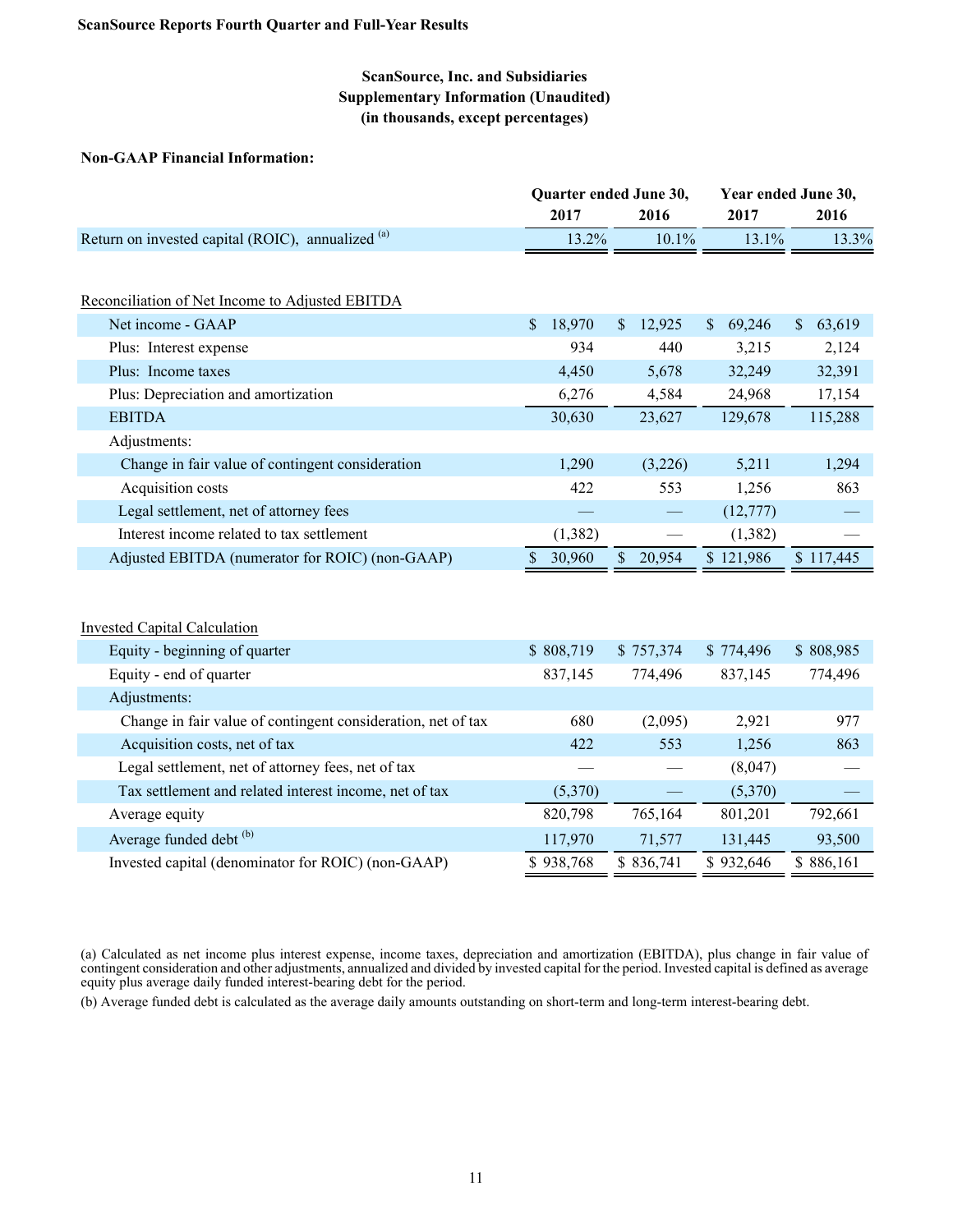### **ScanSource, Inc. and Subsidiaries Supplementary Information (Unaudited) (in thousands, except percentages)**

#### **Non-GAAP Financial Information:**

|                                                              |              | Quarter ended June 30, |              |                                  |  | Year ended June 30, |              |           |  |
|--------------------------------------------------------------|--------------|------------------------|--------------|----------------------------------|--|---------------------|--------------|-----------|--|
|                                                              |              | 2017                   |              | 2016                             |  | 2017                |              | 2016      |  |
| Return on invested capital (ROIC), annualized (a)            | 13.2%        |                        |              | 10.1%                            |  | 13.1%               |              | 13.3%     |  |
|                                                              |              |                        |              |                                  |  |                     |              |           |  |
| Reconciliation of Net Income to Adjusted EBITDA              |              |                        |              |                                  |  |                     |              |           |  |
| Net income - GAAP                                            | <sup>S</sup> | 18,970                 | $\mathbb{S}$ | 12,925                           |  | \$69,246            | $\mathbb{S}$ | 63,619    |  |
|                                                              |              | 934                    |              | 440                              |  | 3,215               |              | 2,124     |  |
| Plus: Interest expense<br>Plus: Income taxes                 |              |                        |              |                                  |  |                     |              |           |  |
|                                                              |              | 4,450                  |              | 5,678                            |  | 32,249              |              | 32,391    |  |
| Plus: Depreciation and amortization                          |              | 6,276                  |              | 4,584                            |  | 24,968              |              | 17,154    |  |
| <b>EBITDA</b>                                                |              | 30,630                 |              | 23,627                           |  | 129,678             |              | 115,288   |  |
| Adjustments:                                                 |              |                        |              |                                  |  |                     |              |           |  |
| Change in fair value of contingent consideration             |              | 1,290                  |              | (3,226)                          |  | 5,211               |              | 1,294     |  |
| Acquisition costs                                            |              | 422                    |              | 553                              |  | 1,256               |              | 863       |  |
| Legal settlement, net of attorney fees                       |              |                        |              |                                  |  | (12, 777)           |              |           |  |
| Interest income related to tax settlement                    |              | (1, 382)               |              | $\overbrace{\qquad \qquad }^{ }$ |  | (1,382)             |              |           |  |
| Adjusted EBITDA (numerator for ROIC) (non-GAAP)              | \$30,960     |                        | $\mathbb{S}$ | 20,954                           |  | \$121,986           |              | \$117,445 |  |
|                                                              |              |                        |              |                                  |  |                     |              |           |  |
|                                                              |              |                        |              |                                  |  |                     |              |           |  |
| <b>Invested Capital Calculation</b>                          |              |                        |              |                                  |  |                     |              |           |  |
| Equity - beginning of quarter                                | \$808,719    |                        |              | \$757,374                        |  | \$774,496           |              | \$808,985 |  |
| Equity - end of quarter                                      |              | 837,145                |              | 774,496                          |  | 837,145             |              | 774,496   |  |
| Adjustments:                                                 |              |                        |              |                                  |  |                     |              |           |  |
| Change in fair value of contingent consideration, net of tax |              | 680                    |              | (2,095)                          |  | 2,921               |              | 977       |  |
| Acquisition costs, net of tax                                |              | 422                    |              | 553                              |  | 1,256               |              | 863       |  |
| Legal settlement, net of attorney fees, net of tax           |              |                        |              |                                  |  | (8,047)             |              |           |  |
| Tax settlement and related interest income, net of tax       |              | (5,370)                |              |                                  |  | (5,370)             |              |           |  |
| Average equity                                               |              | 820,798                |              | 765,164                          |  | 801,201             |              | 792,661   |  |
| Average funded debt <sup>(b)</sup>                           |              | 117,970                |              | 71,577                           |  | 131,445             |              | 93,500    |  |
| Invested capital (denominator for ROIC) (non-GAAP)           | \$938,768    |                        |              | \$836,741                        |  | \$932,646           |              | \$886,161 |  |

(a) Calculated as net income plus interest expense, income taxes, depreciation and amortization (EBITDA), plus change in fair value of contingent consideration and other adjustments, annualized and divided by invested capital for the period. Invested capital is defined as average equity plus average daily funded interest-bearing debt for the period.

(b) Average funded debt is calculated as the average daily amounts outstanding on short-term and long-term interest-bearing debt.